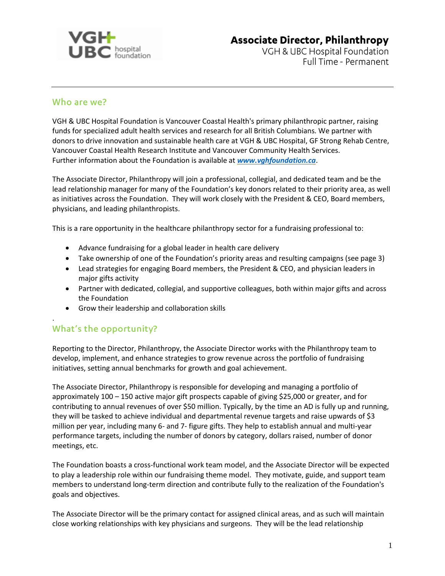

# **Associate Director, Philanthropy**

VGH & UBC Hospital Foundation Full Time - Permanent

### Who are we?

VGH & UBC Hospital Foundation is Vancouver Coastal Health's primary philanthropic partner, raising funds for specialized adult health services and research for all British Columbians. We partner with donors to drive innovation and sustainable health care at VGH & UBC Hospital, GF Strong Rehab Centre, Vancouver Coastal Health Research Institute and Vancouver Community Health Services. Further information about the Foundation is available at *[www.vghfoundation.ca](http://www.vghfoundation.ca/)*.

The Associate Director, Philanthropy will join a professional, collegial, and dedicated team and be the lead relationship manager for many of the Foundation's key donors related to their priority area, as well as initiatives across the Foundation. They will work closely with the President & CEO, Board members, physicians, and leading philanthropists.

This is a rare opportunity in the healthcare philanthropy sector for a fundraising professional to:

- Advance fundraising for a global leader in health care delivery
- Take ownership of one of the Foundation's priority areas and resulting campaigns (see page 3)
- Lead strategies for engaging Board members, the President & CEO, and physician leaders in major gifts activity
- Partner with dedicated, collegial, and supportive colleagues, both within major gifts and across the Foundation
- Grow their leadership and collaboration skills

### What's the opportunity?

.

Reporting to the Director, Philanthropy, the Associate Director works with the Philanthropy team to develop, implement, and enhance strategies to grow revenue across the portfolio of fundraising initiatives, setting annual benchmarks for growth and goal achievement.

The Associate Director, Philanthropy is responsible for developing and managing a portfolio of approximately 100 – 150 active major gift prospects capable of giving \$25,000 or greater, and for contributing to annual revenues of over \$50 million. Typically, by the time an AD is fully up and running, they will be tasked to achieve individual and departmental revenue targets and raise upwards of \$3 million per year, including many 6- and 7- figure gifts. They help to establish annual and multi-year performance targets, including the number of donors by category, dollars raised, number of donor meetings, etc.

The Foundation boasts a cross-functional work team model, and the Associate Director will be expected to play a leadership role within our fundraising theme model. They motivate, guide, and support team members to understand long-term direction and contribute fully to the realization of the Foundation's goals and objectives.

The Associate Director will be the primary contact for assigned clinical areas, and as such will maintain close working relationships with key physicians and surgeons. They will be the lead relationship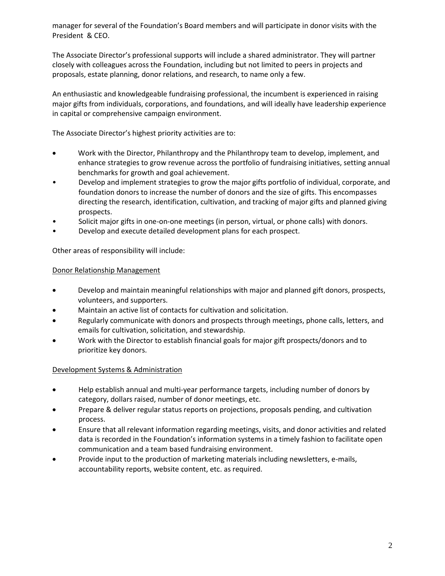manager for several of the Foundation's Board members and will participate in donor visits with the President & CEO.

The Associate Director's professional supports will include a shared administrator. They will partner closely with colleagues across the Foundation, including but not limited to peers in projects and proposals, estate planning, donor relations, and research, to name only a few.

An enthusiastic and knowledgeable fundraising professional, the incumbent is experienced in raising major gifts from individuals, corporations, and foundations, and will ideally have leadership experience in capital or comprehensive campaign environment.

The Associate Director's highest priority activities are to:

- Work with the Director, Philanthropy and the Philanthropy team to develop, implement, and enhance strategies to grow revenue across the portfolio of fundraising initiatives, setting annual benchmarks for growth and goal achievement.
- Develop and implement strategies to grow the major gifts portfolio of individual, corporate, and foundation donors to increase the number of donors and the size of gifts. This encompasses directing the research, identification, cultivation, and tracking of major gifts and planned giving prospects.
- Solicit major gifts in one-on-one meetings (in person, virtual, or phone calls) with donors.
- Develop and execute detailed development plans for each prospect.

Other areas of responsibility will include:

#### Donor Relationship Management

- Develop and maintain meaningful relationships with major and planned gift donors, prospects, volunteers, and supporters.
- Maintain an active list of contacts for cultivation and solicitation.
- Regularly communicate with donors and prospects through meetings, phone calls, letters, and emails for cultivation, solicitation, and stewardship.
- Work with the Director to establish financial goals for major gift prospects/donors and to prioritize key donors.

#### Development Systems & Administration

- Help establish annual and multi-year performance targets, including number of donors by category, dollars raised, number of donor meetings, etc.
- Prepare & deliver regular status reports on projections, proposals pending, and cultivation process.
- Ensure that all relevant information regarding meetings, visits, and donor activities and related data is recorded in the Foundation's information systems in a timely fashion to facilitate open communication and a team based fundraising environment.
- Provide input to the production of marketing materials including newsletters, e-mails, accountability reports, website content, etc. as required.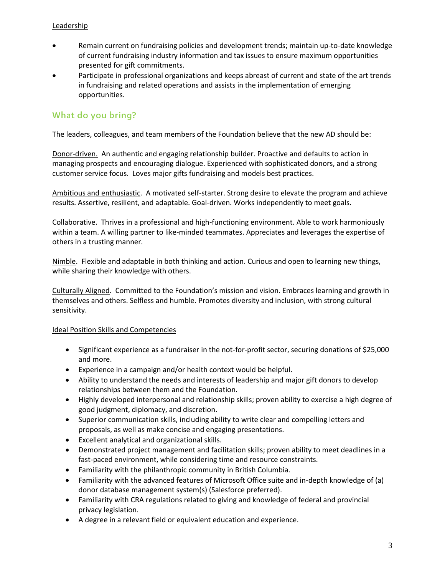#### Leadership

- Remain current on fundraising policies and development trends; maintain up-to-date knowledge of current fundraising industry information and tax issues to ensure maximum opportunities presented for gift commitments.
- Participate in professional organizations and keeps abreast of current and state of the art trends in fundraising and related operations and assists in the implementation of emerging opportunities.

## What do you bring?

The leaders, colleagues, and team members of the Foundation believe that the new AD should be:

Donor-driven. An authentic and engaging relationship builder. Proactive and defaults to action in managing prospects and encouraging dialogue. Experienced with sophisticated donors, and a strong customer service focus. Loves major gifts fundraising and models best practices.

Ambitious and enthusiastic. A motivated self-starter. Strong desire to elevate the program and achieve results. Assertive, resilient, and adaptable. Goal-driven. Works independently to meet goals.

Collaborative. Thrives in a professional and high-functioning environment. Able to work harmoniously within a team. A willing partner to like-minded teammates. Appreciates and leverages the expertise of others in a trusting manner.

Nimble. Flexible and adaptable in both thinking and action. Curious and open to learning new things, while sharing their knowledge with others.

Culturally Aligned. Committed to the Foundation's mission and vision. Embraces learning and growth in themselves and others. Selfless and humble. Promotes diversity and inclusion, with strong cultural sensitivity.

#### Ideal Position Skills and Competencies

- Significant experience as a fundraiser in the not-for-profit sector, securing donations of \$25,000 and more.
- Experience in a campaign and/or health context would be helpful.
- Ability to understand the needs and interests of leadership and major gift donors to develop relationships between them and the Foundation.
- Highly developed interpersonal and relationship skills; proven ability to exercise a high degree of good judgment, diplomacy, and discretion.
- Superior communication skills, including ability to write clear and compelling letters and proposals, as well as make concise and engaging presentations.
- Excellent analytical and organizational skills.
- Demonstrated project management and facilitation skills; proven ability to meet deadlines in a fast-paced environment, while considering time and resource constraints.
- Familiarity with the philanthropic community in British Columbia.
- Familiarity with the advanced features of Microsoft Office suite and in-depth knowledge of (a) donor database management system(s) (Salesforce preferred).
- Familiarity with CRA regulations related to giving and knowledge of federal and provincial privacy legislation.
- A degree in a relevant field or equivalent education and experience.